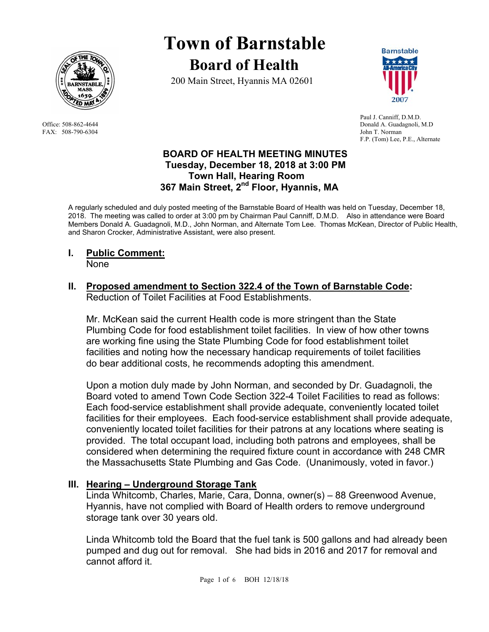

FAX: 508-790-6304 John T. Norman

# **Town of Barnstable Board of Health**

200 Main Street, Hyannis MA 02601



 Paul J. Canniff, D.M.D. Office: 508-862-4644 Donald A. Guadagnoli, M.D F.P. (Tom) Lee, P.E., Alternate

#### **BOARD OF HEALTH MEETING MINUTES Tuesday, December 18, 2018 at 3:00 PM Town Hall, Hearing Room 367 Main Street, 2nd Floor, Hyannis, MA**

A regularly scheduled and duly posted meeting of the Barnstable Board of Health was held on Tuesday, December 18, 2018. The meeting was called to order at 3:00 pm by Chairman Paul Canniff, D.M.D. Also in attendance were Board Members Donald A. Guadagnoli, M.D., John Norman, and Alternate Tom Lee. Thomas McKean, Director of Public Health, and Sharon Crocker, Administrative Assistant, were also present.

**I. Public Comment:**

None

#### **II. Proposed amendment to Section 322.4 of the Town of Barnstable Code:**  Reduction of Toilet Facilities at Food Establishments.

Mr. McKean said the current Health code is more stringent than the State Plumbing Code for food establishment toilet facilities. In view of how other towns are working fine using the State Plumbing Code for food establishment toilet facilities and noting how the necessary handicap requirements of toilet facilities do bear additional costs, he recommends adopting this amendment.

Upon a motion duly made by John Norman, and seconded by Dr. Guadagnoli, the Board voted to amend Town Code Section 322-4 Toilet Facilities to read as follows: Each food-service establishment shall provide adequate, conveniently located toilet facilities for their employees. Each food-service establishment shall provide adequate, conveniently located toilet facilities for their patrons at any locations where seating is provided. The total occupant load, including both patrons and employees, shall be considered when determining the required fixture count in accordance with 248 CMR the Massachusetts State Plumbing and Gas Code. (Unanimously, voted in favor.)

# **III. Hearing – Underground Storage Tank**

Linda Whitcomb, Charles, Marie, Cara, Donna, owner(s) – 88 Greenwood Avenue, Hyannis, have not complied with Board of Health orders to remove underground storage tank over 30 years old.

Linda Whitcomb told the Board that the fuel tank is 500 gallons and had already been pumped and dug out for removal. She had bids in 2016 and 2017 for removal and cannot afford it.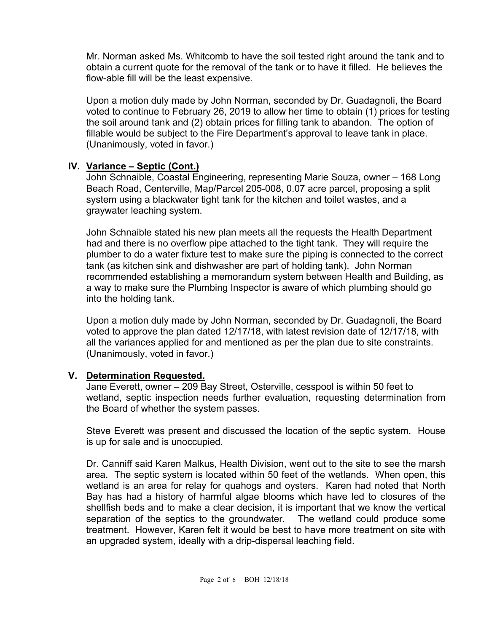Mr. Norman asked Ms. Whitcomb to have the soil tested right around the tank and to obtain a current quote for the removal of the tank or to have it filled. He believes the flow-able fill will be the least expensive.

Upon a motion duly made by John Norman, seconded by Dr. Guadagnoli, the Board voted to continue to February 26, 2019 to allow her time to obtain (1) prices for testing the soil around tank and (2) obtain prices for filling tank to abandon. The option of fillable would be subject to the Fire Department's approval to leave tank in place. (Unanimously, voted in favor.)

## **IV. Variance – Septic (Cont.)**

 John Schnaible, Coastal Engineering, representing Marie Souza, owner – 168 Long Beach Road, Centerville, Map/Parcel 205-008, 0.07 acre parcel, proposing a split system using a blackwater tight tank for the kitchen and toilet wastes, and a graywater leaching system.

 John Schnaible stated his new plan meets all the requests the Health Department had and there is no overflow pipe attached to the tight tank. They will require the plumber to do a water fixture test to make sure the piping is connected to the correct tank (as kitchen sink and dishwasher are part of holding tank). John Norman recommended establishing a memorandum system between Health and Building, as a way to make sure the Plumbing Inspector is aware of which plumbing should go into the holding tank.

 Upon a motion duly made by John Norman, seconded by Dr. Guadagnoli, the Board voted to approve the plan dated 12/17/18, with latest revision date of 12/17/18, with all the variances applied for and mentioned as per the plan due to site constraints. (Unanimously, voted in favor.)

# **V. Determination Requested.**

Jane Everett, owner – 209 Bay Street, Osterville, cesspool is within 50 feet to wetland, septic inspection needs further evaluation, requesting determination from the Board of whether the system passes.

Steve Everett was present and discussed the location of the septic system. House is up for sale and is unoccupied.

Dr. Canniff said Karen Malkus, Health Division, went out to the site to see the marsh area. The septic system is located within 50 feet of the wetlands. When open, this wetland is an area for relay for quahogs and oysters. Karen had noted that North Bay has had a history of harmful algae blooms which have led to closures of the shellfish beds and to make a clear decision, it is important that we know the vertical separation of the septics to the groundwater. The wetland could produce some treatment. However, Karen felt it would be best to have more treatment on site with an upgraded system, ideally with a drip-dispersal leaching field.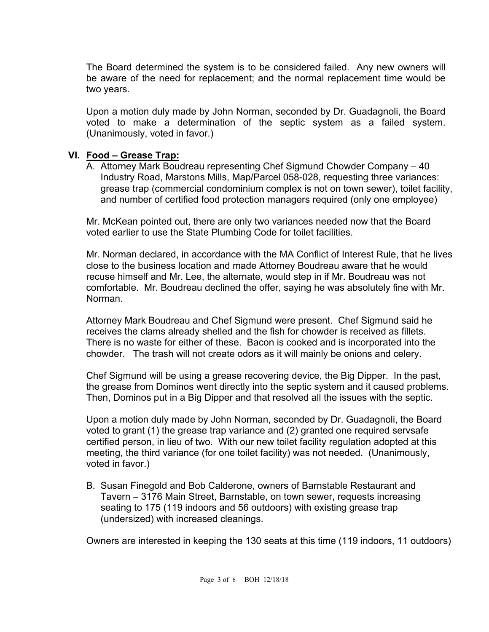The Board determined the system is to be considered failed. Any new owners will be aware of the need for replacement; and the normal replacement time would be two years.

Upon a motion duly made by John Norman, seconded by Dr. Guadagnoli, the Board voted to make a determination of the septic system as a failed system. (Unanimously, voted in favor.)

#### **VI. Food – Grease Trap:**

A. Attorney Mark Boudreau representing Chef Sigmund Chowder Company – 40 Industry Road, Marstons Mills, Map/Parcel 058-028, requesting three variances: grease trap (commercial condominium complex is not on town sewer), toilet facility, and number of certified food protection managers required (only one employee)

Mr. McKean pointed out, there are only two variances needed now that the Board voted earlier to use the State Plumbing Code for toilet facilities.

Mr. Norman declared, in accordance with the MA Conflict of Interest Rule, that he lives close to the business location and made Attorney Boudreau aware that he would recuse himself and Mr. Lee, the alternate, would step in if Mr. Boudreau was not comfortable. Mr. Boudreau declined the offer, saying he was absolutely fine with Mr. Norman.

Attorney Mark Boudreau and Chef Sigmund were present. Chef Sigmund said he receives the clams already shelled and the fish for chowder is received as fillets. There is no waste for either of these. Bacon is cooked and is incorporated into the chowder. The trash will not create odors as it will mainly be onions and celery.

Chef Sigmund will be using a grease recovering device, the Big Dipper. In the past, the grease from Dominos went directly into the septic system and it caused problems. Then, Dominos put in a Big Dipper and that resolved all the issues with the septic.

Upon a motion duly made by John Norman, seconded by Dr. Guadagnoli, the Board voted to grant (1) the grease trap variance and (2) granted one required servsafe certified person, in lieu of two. With our new toilet facility regulation adopted at this meeting, the third variance (for one toilet facility) was not needed. (Unanimously, voted in favor.)

B. Susan Finegold and Bob Calderone, owners of Barnstable Restaurant and Tavern – 3176 Main Street, Barnstable, on town sewer, requests increasing seating to 175 (119 indoors and 56 outdoors) with existing grease trap (undersized) with increased cleanings.

Owners are interested in keeping the 130 seats at this time (119 indoors, 11 outdoors)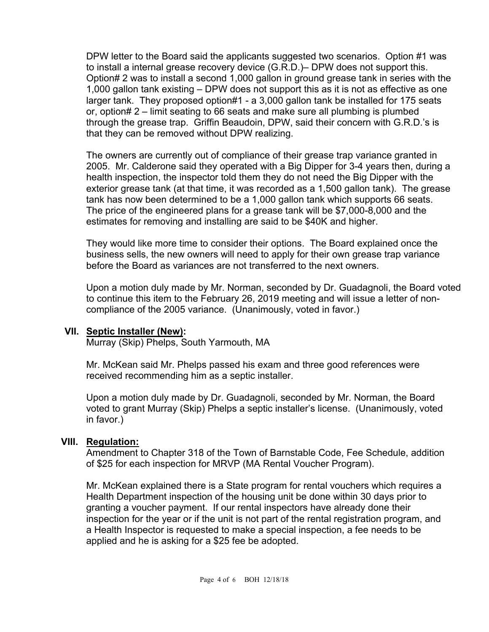DPW letter to the Board said the applicants suggested two scenarios. Option #1 was to install a internal grease recovery device (G.R.D.)– DPW does not support this. Option# 2 was to install a second 1,000 gallon in ground grease tank in series with the 1,000 gallon tank existing – DPW does not support this as it is not as effective as one larger tank. They proposed option#1 - a 3,000 gallon tank be installed for 175 seats or, option# 2 – limit seating to 66 seats and make sure all plumbing is plumbed through the grease trap. Griffin Beaudoin, DPW, said their concern with G.R.D.'s is that they can be removed without DPW realizing.

The owners are currently out of compliance of their grease trap variance granted in 2005. Mr. Calderone said they operated with a Big Dipper for 3-4 years then, during a health inspection, the inspector told them they do not need the Big Dipper with the exterior grease tank (at that time, it was recorded as a 1,500 gallon tank). The grease tank has now been determined to be a 1,000 gallon tank which supports 66 seats. The price of the engineered plans for a grease tank will be \$7,000-8,000 and the estimates for removing and installing are said to be \$40K and higher.

They would like more time to consider their options. The Board explained once the business sells, the new owners will need to apply for their own grease trap variance before the Board as variances are not transferred to the next owners.

Upon a motion duly made by Mr. Norman, seconded by Dr. Guadagnoli, the Board voted to continue this item to the February 26, 2019 meeting and will issue a letter of noncompliance of the 2005 variance. (Unanimously, voted in favor.)

#### **VII. Septic Installer (New):**

Murray (Skip) Phelps, South Yarmouth, MA

Mr. McKean said Mr. Phelps passed his exam and three good references were received recommending him as a septic installer.

Upon a motion duly made by Dr. Guadagnoli, seconded by Mr. Norman, the Board voted to grant Murray (Skip) Phelps a septic installer's license. (Unanimously, voted in favor.)

#### **VIII. Regulation:**

Amendment to Chapter 318 of the Town of Barnstable Code, Fee Schedule, addition of \$25 for each inspection for MRVP (MA Rental Voucher Program).

Mr. McKean explained there is a State program for rental vouchers which requires a Health Department inspection of the housing unit be done within 30 days prior to granting a voucher payment. If our rental inspectors have already done their inspection for the year or if the unit is not part of the rental registration program, and a Health Inspector is requested to make a special inspection, a fee needs to be applied and he is asking for a \$25 fee be adopted.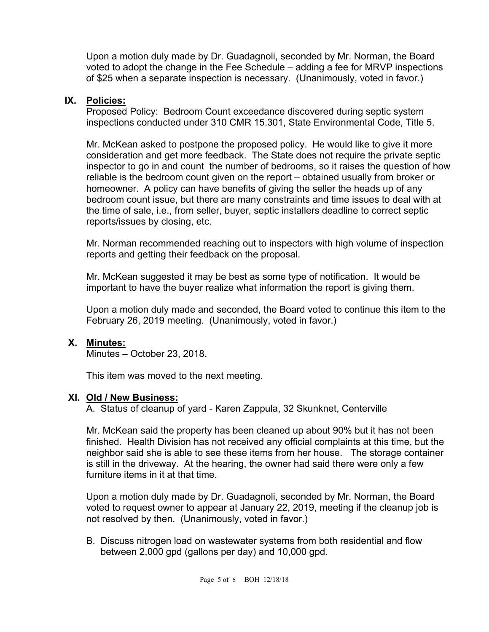Upon a motion duly made by Dr. Guadagnoli, seconded by Mr. Norman, the Board voted to adopt the change in the Fee Schedule – adding a fee for MRVP inspections of \$25 when a separate inspection is necessary. (Unanimously, voted in favor.)

### **IX. Policies:**

Proposed Policy: Bedroom Count exceedance discovered during septic system inspections conducted under 310 CMR 15.301, State Environmental Code, Title 5.

Mr. McKean asked to postpone the proposed policy. He would like to give it more consideration and get more feedback. The State does not require the private septic inspector to go in and count the number of bedrooms, so it raises the question of how reliable is the bedroom count given on the report – obtained usually from broker or homeowner. A policy can have benefits of giving the seller the heads up of any bedroom count issue, but there are many constraints and time issues to deal with at the time of sale, i.e., from seller, buyer, septic installers deadline to correct septic reports/issues by closing, etc.

Mr. Norman recommended reaching out to inspectors with high volume of inspection reports and getting their feedback on the proposal.

Mr. McKean suggested it may be best as some type of notification. It would be important to have the buyer realize what information the report is giving them.

Upon a motion duly made and seconded, the Board voted to continue this item to the February 26, 2019 meeting. (Unanimously, voted in favor.)

# **X. Minutes:**

Minutes – October 23, 2018.

This item was moved to the next meeting.

#### **XI. Old / New Business:**

A. Status of cleanup of yard - Karen Zappula, 32 Skunknet, Centerville

Mr. McKean said the property has been cleaned up about 90% but it has not been finished. Health Division has not received any official complaints at this time, but the neighbor said she is able to see these items from her house. The storage container is still in the driveway. At the hearing, the owner had said there were only a few furniture items in it at that time.

Upon a motion duly made by Dr. Guadagnoli, seconded by Mr. Norman, the Board voted to request owner to appear at January 22, 2019, meeting if the cleanup job is not resolved by then. (Unanimously, voted in favor.)

B. Discuss nitrogen load on wastewater systems from both residential and flow between 2,000 gpd (gallons per day) and 10,000 gpd.